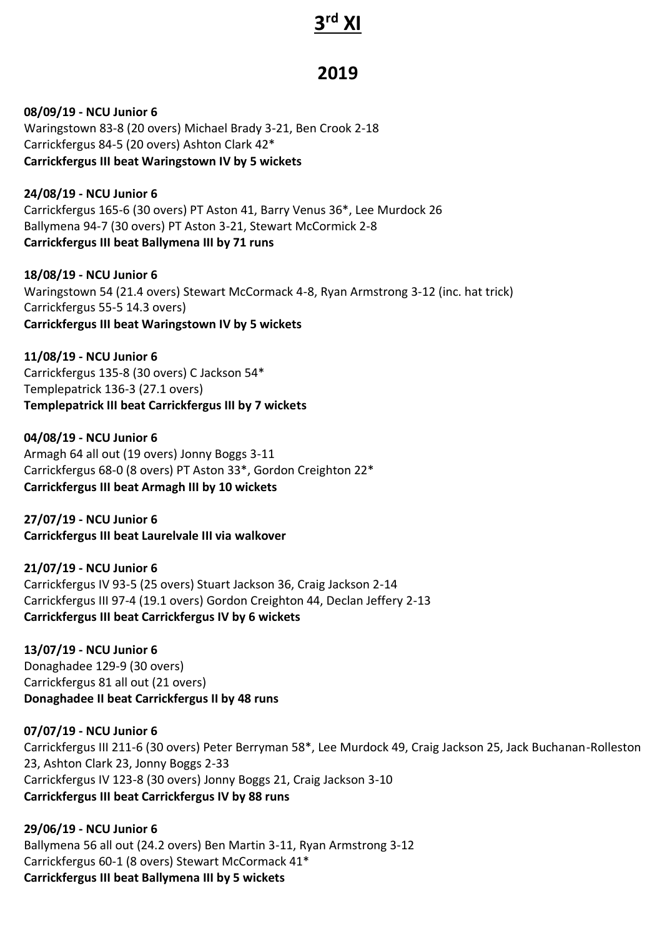# **3 rd XI**

## **2019**

**08/09/19 - NCU Junior 6** Waringstown 83-8 (20 overs) Michael Brady 3-21, Ben Crook 2-18 Carrickfergus 84-5 (20 overs) Ashton Clark 42\* **Carrickfergus III beat Waringstown IV by 5 wickets**

**24/08/19 - NCU Junior 6** Carrickfergus 165-6 (30 overs) PT Aston 41, Barry Venus 36\*, Lee Murdock 26 Ballymena 94-7 (30 overs) PT Aston 3-21, Stewart McCormick 2-8 **Carrickfergus III beat Ballymena III by 71 runs**

**18/08/19 - NCU Junior 6** Waringstown 54 (21.4 overs) Stewart McCormack 4-8, Ryan Armstrong 3-12 (inc. hat trick) Carrickfergus 55-5 14.3 overs) **Carrickfergus III beat Waringstown IV by 5 wickets**

**11/08/19 - NCU Junior 6** Carrickfergus 135-8 (30 overs) C Jackson 54\* Templepatrick 136-3 (27.1 overs) **Templepatrick III beat Carrickfergus III by 7 wickets**

**04/08/19 - NCU Junior 6** Armagh 64 all out (19 overs) Jonny Boggs 3-11 Carrickfergus 68-0 (8 overs) PT Aston 33\*, Gordon Creighton 22\* **Carrickfergus III beat Armagh III by 10 wickets**

**27/07/19 - NCU Junior 6 Carrickfergus III beat Laurelvale III via walkover**

**21/07/19 - NCU Junior 6** Carrickfergus IV 93-5 (25 overs) Stuart Jackson 36, Craig Jackson 2-14 Carrickfergus III 97-4 (19.1 overs) Gordon Creighton 44, Declan Jeffery 2-13 **Carrickfergus III beat Carrickfergus IV by 6 wickets**

**13/07/19 - NCU Junior 6** Donaghadee 129-9 (30 overs) Carrickfergus 81 all out (21 overs) **Donaghadee II beat Carrickfergus II by 48 runs**

**07/07/19 - NCU Junior 6** Carrickfergus III 211-6 (30 overs) Peter Berryman 58\*, Lee Murdock 49, Craig Jackson 25, Jack Buchanan-Rolleston 23, Ashton Clark 23, Jonny Boggs 2-33 Carrickfergus IV 123-8 (30 overs) Jonny Boggs 21, Craig Jackson 3-10 **Carrickfergus III beat Carrickfergus IV by 88 runs**

**29/06/19 - NCU Junior 6** Ballymena 56 all out (24.2 overs) Ben Martin 3-11, Ryan Armstrong 3-12 Carrickfergus 60-1 (8 overs) Stewart McCormack 41\* **Carrickfergus III beat Ballymena III by 5 wickets**